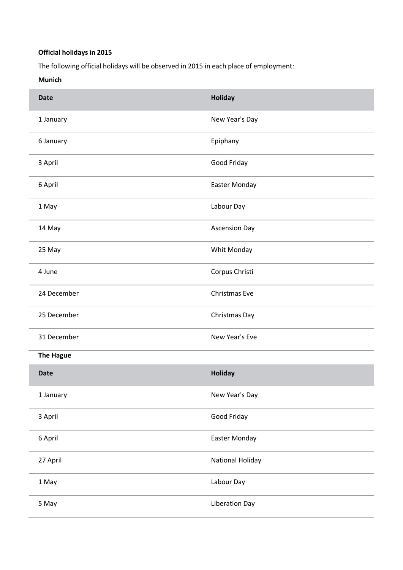## **Official holidays in 2015**

The following official holidays will be observed in 2015 in each place of employment:

**Munich**

| <b>Date</b>      | Holiday                 |
|------------------|-------------------------|
| 1 January        | New Year's Day          |
| 6 January        | Epiphany                |
| 3 April          | Good Friday             |
| 6 April          | Easter Monday           |
| 1 May            | Labour Day              |
| 14 May           | <b>Ascension Day</b>    |
| 25 May           | Whit Monday             |
| 4 June           | Corpus Christi          |
| 24 December      | Christmas Eve           |
| 25 December      | Christmas Day           |
| 31 December      | New Year's Eve          |
| <b>The Hague</b> |                         |
| <b>Date</b>      | Holiday                 |
| 1 January        | New Year's Day          |
| 3 April          | Good Friday             |
| 6 April          | Easter Monday           |
| 27 April         | <b>National Holiday</b> |
| 1 May            | Labour Day              |
| 5 May            | <b>Liberation Day</b>   |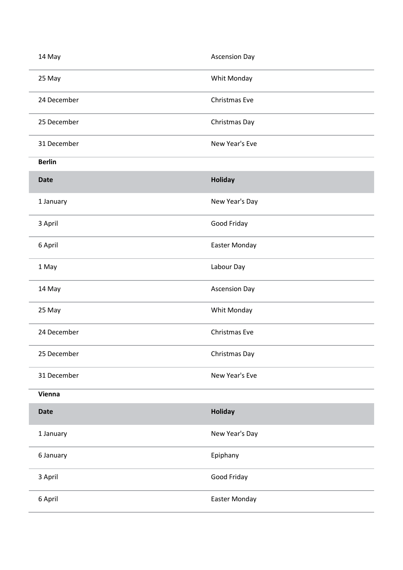| 14 May        | <b>Ascension Day</b> |
|---------------|----------------------|
| 25 May        | Whit Monday          |
| 24 December   | Christmas Eve        |
| 25 December   | Christmas Day        |
| 31 December   | New Year's Eve       |
| <b>Berlin</b> |                      |
| <b>Date</b>   | Holiday              |
| 1 January     | New Year's Day       |
| 3 April       | Good Friday          |
| 6 April       | Easter Monday        |
| 1 May         | Labour Day           |
| 14 May        | <b>Ascension Day</b> |
| 25 May        | Whit Monday          |
| 24 December   | Christmas Eve        |
| 25 December   | Christmas Day        |
| 31 December   | New Year's Eve       |
| Vienna        |                      |
| <b>Date</b>   | Holiday              |
| 1 January     | New Year's Day       |
| 6 January     | Epiphany             |
| 3 April       | Good Friday          |
| 6 April       | Easter Monday        |